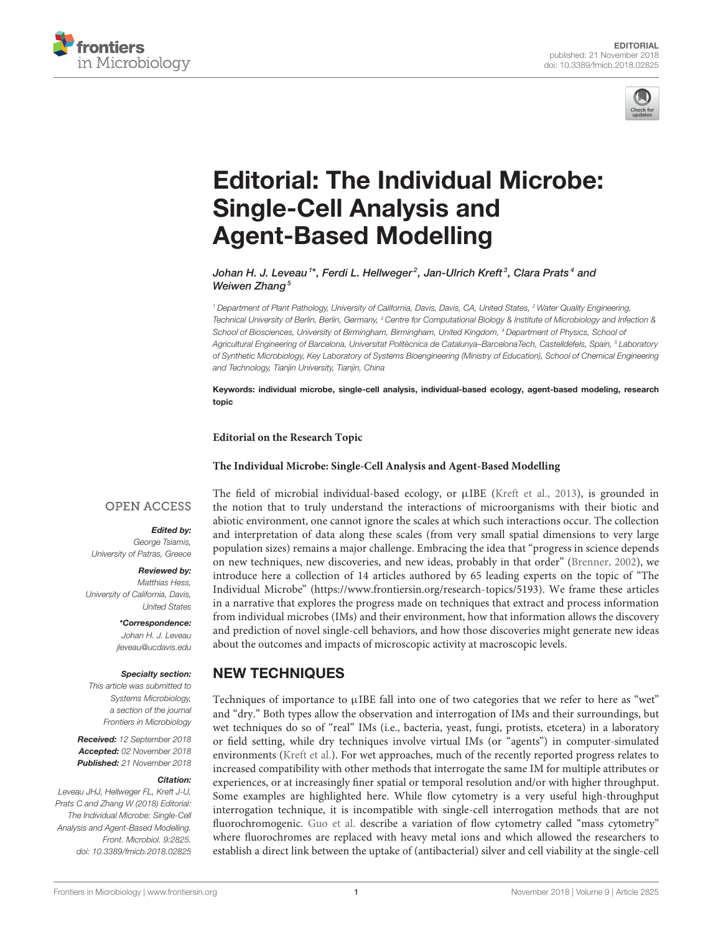



# [Editorial: The Individual Microbe:](https://www.frontiersin.org/articles/10.3389/fmicb.2018.02825/full) Single-Cell Analysis and Agent-Based Modelling

[Johan H. J. Leveau](http://loop.frontiersin.org/people/30021/overview) 1\*, [Ferdi L. Hellweger](http://loop.frontiersin.org/people/340685/overview)<sup>2</sup>, [Jan-Ulrich Kreft](http://loop.frontiersin.org/people/167977/overview)<sup>3</sup>, [Clara Prats](http://loop.frontiersin.org/people/229925/overview)<sup>4</sup> and [Weiwen Zhang](http://loop.frontiersin.org/people/23082/overview)<sup>5</sup>

<sup>1</sup> Department of Plant Pathology, University of California, Davis, Davis, CA, United States, <sup>2</sup> Water Quality Engineering, Technical University of Berlin, Berlin, Germany, <sup>3</sup> Centre for Computational Biology & Institute of Microbiology and Infection & School of Biosciences, University of Birmingham, Birmingham, United Kingdom, <sup>4</sup> Department of Physics, School of Agricultural Engineering of Barcelona, Universitat Politècnica de Catalunya–BarcelonaTech, Castelldefels, Spain, <sup>5</sup> Laboratory of Synthetic Microbiology, Key Laboratory of Systems Bioengineering (Ministry of Education), School of Chemical Engineering and Technology, Tianjin University, Tianjin, China

Keywords: individual microbe, single-cell analysis, individual-based ecology, agent-based modeling, research topic

**Editorial on the Research Topic**

#### **[The Individual Microbe: Single-Cell Analysis and Agent-Based Modelling](https://www.frontiersin.org/research-topics/5193/the-individual-microbe-single-cell-analysis-and-agent-based-modelling)**

#### **OPEN ACCESS**

Edited by:

George Tsiamis, University of Patras, Greece

#### Reviewed by:

Matthias Hess, University of California, Davis, United States

> \*Correspondence: Johan H. J. Leveau

[jleveau@ucdavis.edu](mailto:jleveau@ucdavis.edu)

#### Specialty section:

This article was submitted to Systems Microbiology, a section of the journal Frontiers in Microbiology

Received: 12 September 2018 Accepted: 02 November 2018 Published: 21 November 2018

#### Citation:

Leveau JHJ, Hellweger FL, Kreft J-U, Prats C and Zhang W (2018) Editorial: The Individual Microbe: Single-Cell Analysis and Agent-Based Modelling. Front. Microbiol. 9:2825. doi: [10.3389/fmicb.2018.02825](https://doi.org/10.3389/fmicb.2018.02825) The field of microbial individual-based ecology, or  $\mu$ IBE [\(Kreft et al., 2013\)](#page-2-0), is grounded in the notion that to truly understand the interactions of microorganisms with their biotic and abiotic environment, one cannot ignore the scales at which such interactions occur. The collection and interpretation of data along these scales (from very small spatial dimensions to very large population sizes) remains a major challenge. Embracing the idea that "progress in science depends on new techniques, new discoveries, and new ideas, probably in that order" [\(Brenner, 2002\)](#page-2-1), we introduce here a collection of 14 articles authored by 65 leading experts on the topic of "The Individual Microbe" [\(https://www.frontiersin.org/research-topics/5193\)](https://www.frontiersin.org/research-topics/5193). We frame these articles in a narrative that explores the progress made on techniques that extract and process information from individual microbes (IMs) and their environment, how that information allows the discovery and prediction of novel single-cell behaviors, and how those discoveries might generate new ideas about the outcomes and impacts of microscopic activity at macroscopic levels.

### NEW TECHNIQUES

Techniques of importance to  $\mu$ IBE fall into one of two categories that we refer to here as "wet" and "dry." Both types allow the observation and interrogation of IMs and their surroundings, but wet techniques do so of "real" IMs (i.e., bacteria, yeast, fungi, protists, etcetera) in a laboratory or field setting, while dry techniques involve virtual IMs (or "agents") in computer-simulated environments [\(Kreft et al.\)](https://doi.org/10.3389/fmicb.2017.02299). For wet approaches, much of the recently reported progress relates to increased compatibility with other methods that interrogate the same IM for multiple attributes or experiences, or at increasingly finer spatial or temporal resolution and/or with higher throughput. Some examples are highlighted here. While flow cytometry is a very useful high-throughput interrogation technique, it is incompatible with single-cell interrogation methods that are not fluorochromogenic. [Guo et al.](https://doi.org/10.3389/fmicb.2017.01326) describe a variation of flow cytometry called "mass cytometry" where fluorochromes are replaced with heavy metal ions and which allowed the researchers to establish a direct link between the uptake of (antibacterial) silver and cell viability at the single-cell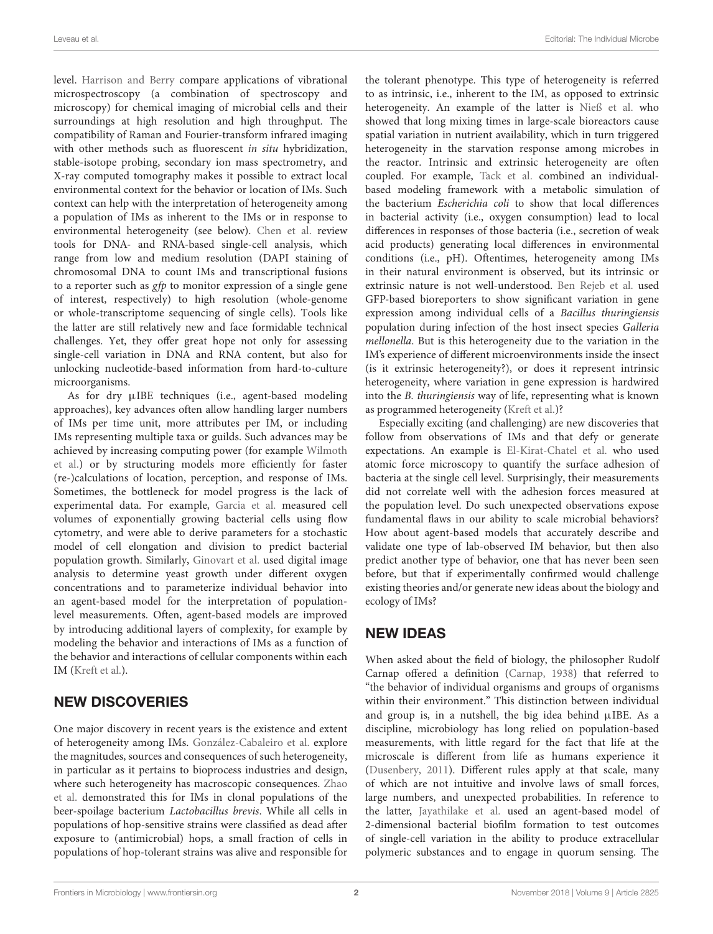level. [Harrison and Berry](https://doi.org/10.3389/fmicb.2017.00675) compare applications of vibrational microspectroscopy (a combination of spectroscopy and microscopy) for chemical imaging of microbial cells and their surroundings at high resolution and high throughput. The compatibility of Raman and Fourier-transform infrared imaging with other methods such as fluorescent in situ hybridization, stable-isotope probing, secondary ion mass spectrometry, and X-ray computed tomography makes it possible to extract local environmental context for the behavior or location of IMs. Such context can help with the interpretation of heterogeneity among a population of IMs as inherent to the IMs or in response to environmental heterogeneity (see below). [Chen et al.](https://doi.org/10.3389/fmicb.2017.01831) review tools for DNA- and RNA-based single-cell analysis, which range from low and medium resolution (DAPI staining of chromosomal DNA to count IMs and transcriptional fusions to a reporter such as gfp to monitor expression of a single gene of interest, respectively) to high resolution (whole-genome or whole-transcriptome sequencing of single cells). Tools like the latter are still relatively new and face formidable technical challenges. Yet, they offer great hope not only for assessing single-cell variation in DNA and RNA content, but also for unlocking nucleotide-based information from hard-to-culture microorganisms.

As for dry  $\mu$ IBE techniques (i.e., agent-based modeling approaches), key advances often allow handling larger numbers of IMs per time unit, more attributes per IM, or including IMs representing multiple taxa or guilds. Such advances may be achieved by increasing computing power (for example Wilmoth [et al.\) or by structuring models more efficiently for faster](https://doi.org/10.3389/fmicb.2018.00033) (re-)calculations of location, perception, and response of IMs. Sometimes, the bottleneck for model progress is the lack of experimental data. For example, [Garcia et al.](https://doi.org/10.3389/fmicb.2018.00633) measured cell volumes of exponentially growing bacterial cells using flow cytometry, and were able to derive parameters for a stochastic model of cell elongation and division to predict bacterial population growth. Similarly, [Ginovart et al.](https://doi.org/10.3389/fmicb.2017.02628) used digital image analysis to determine yeast growth under different oxygen concentrations and to parameterize individual behavior into an agent-based model for the interpretation of populationlevel measurements. Often, agent-based models are improved by introducing additional layers of complexity, for example by modeling the behavior and interactions of IMs as a function of the behavior and interactions of cellular components within each IM [\(Kreft et al.\)](https://doi.org/10.3389/fmicb.2017.02299).

# NEW DISCOVERIES

One major discovery in recent years is the existence and extent of heterogeneity among IMs. [González-Cabaleiro et al.](https://doi.org/10.3389/fmicb.2017.01813) explore the magnitudes, sources and consequences of such heterogeneity, in particular as it pertains to bioprocess industries and design, [where such heterogeneity has macroscopic consequences.](https://doi.org/10.3389/fmicb.2017.00239) Zhao et al. demonstrated this for IMs in clonal populations of the beer-spoilage bacterium Lactobacillus brevis. While all cells in populations of hop-sensitive strains were classified as dead after exposure to (antimicrobial) hops, a small fraction of cells in populations of hop-tolerant strains was alive and responsible for the tolerant phenotype. This type of heterogeneity is referred to as intrinsic, i.e., inherent to the IM, as opposed to extrinsic heterogeneity. An example of the latter is [Nieß et al.](https://doi.org/10.3389/fmicb.2017.01195) who showed that long mixing times in large-scale bioreactors cause spatial variation in nutrient availability, which in turn triggered heterogeneity in the starvation response among microbes in the reactor. Intrinsic and extrinsic heterogeneity are often coupled. For example, [Tack et al.](https://doi.org/10.3389/fmicb.2017.02509) combined an individualbased modeling framework with a metabolic simulation of the bacterium Escherichia coli to show that local differences in bacterial activity (i.e., oxygen consumption) lead to local differences in responses of those bacteria (i.e., secretion of weak acid products) generating local differences in environmental conditions (i.e., pH). Oftentimes, heterogeneity among IMs in their natural environment is observed, but its intrinsic or extrinsic nature is not well-understood. [Ben Rejeb et al.](https://doi.org/10.3389/fmicb.2017.02471) used GFP-based bioreporters to show significant variation in gene expression among individual cells of a Bacillus thuringiensis population during infection of the host insect species Galleria mellonella. But is this heterogeneity due to the variation in the IM's experience of different microenvironments inside the insect (is it extrinsic heterogeneity?), or does it represent intrinsic heterogeneity, where variation in gene expression is hardwired into the B. thuringiensis way of life, representing what is known as programmed heterogeneity [\(Kreft et al.\)](https://doi.org/10.3389/fmicb.2017.02299)?

Especially exciting (and challenging) are new discoveries that follow from observations of IMs and that defy or generate expectations. An example is [El-Kirat-Chatel et al.](https://doi.org/10.3389/fmicb.2017.01399) who used atomic force microscopy to quantify the surface adhesion of bacteria at the single cell level. Surprisingly, their measurements did not correlate well with the adhesion forces measured at the population level. Do such unexpected observations expose fundamental flaws in our ability to scale microbial behaviors? How about agent-based models that accurately describe and validate one type of lab-observed IM behavior, but then also predict another type of behavior, one that has never been seen before, but that if experimentally confirmed would challenge existing theories and/or generate new ideas about the biology and ecology of IMs?

# NEW IDEAS

When asked about the field of biology, the philosopher Rudolf Carnap offered a definition [\(Carnap, 1938\)](#page-2-2) that referred to "the behavior of individual organisms and groups of organisms within their environment." This distinction between individual and group is, in a nutshell, the big idea behind  $\mu$ IBE. As a discipline, microbiology has long relied on population-based measurements, with little regard for the fact that life at the microscale is different from life as humans experience it [\(Dusenbery, 2011\)](#page-2-3). Different rules apply at that scale, many of which are not intuitive and involve laws of small forces, large numbers, and unexpected probabilities. In reference to the latter, [Jayathilake et al.](https://doi.org/10.3389/fmicb.2017.01865) used an agent-based model of 2-dimensional bacterial biofilm formation to test outcomes of single-cell variation in the ability to produce extracellular polymeric substances and to engage in quorum sensing. The